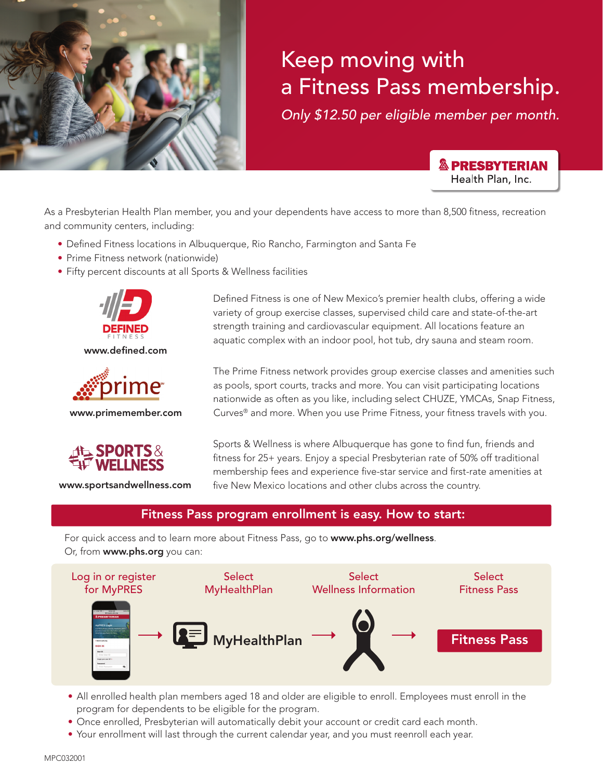

# Keep moving with a Fitness Pass membership.

*Only \$12.50 per eligible member per month.*

**& PRESBYTERIAN** Health Plan, Inc.

As a Presbyterian Health Plan member, you and your dependents have access to more than 8,500 fitness, recreation and community centers, including:

- Defined Fitness locations in Albuquerque, Rio Rancho, Farmington and Santa Fe
- Prime Fitness network (nationwide)
- Fifty percent discounts at all Sports & Wellness facilities



www.defined.com



www.primemember.com



www.sportsandwellness.com

Defined Fitness is one of New Mexico's premier health clubs, offering a wide variety of group exercise classes, supervised child care and state-of-the-art strength training and cardiovascular equipment. All locations feature an aquatic complex with an indoor pool, hot tub, dry sauna and steam room.

The Prime Fitness network provides group exercise classes and amenities such as pools, sport courts, tracks and more. You can visit participating locations nationwide as often as you like, including select CHUZE, YMCAs, Snap Fitness, Curves® and more. When you use Prime Fitness, your fitness travels with you.

Sports & Wellness is where Albuquerque has gone to find fun, friends and fitness for 25+ years. Enjoy a special Presbyterian rate of 50% off traditional membership fees and experience five-star service and first-rate amenities at five New Mexico locations and other clubs across the country.

### Fitness Pass program enrollment is easy. How to start:

For quick access and to learn more about Fitness Pass, go to www.phs.org/wellness. Or, from www.phs.org you can:



- All enrolled health plan members aged 18 and older are eligible to enroll. Employees must enroll in the program for dependents to be eligible for the program.
- Once enrolled, Presbyterian will automatically debit your account or credit card each month.
- Your enrollment will last through the current calendar year, and you must reenroll each year.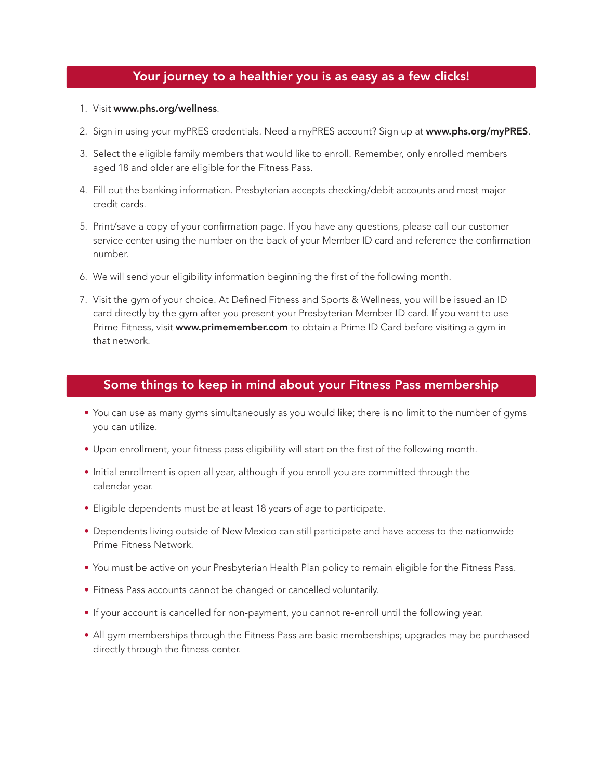## Your journey to a healthier you is as easy as a few clicks!

- 1. Visit www.phs.org/wellness.
- 2. Sign in using your myPRES credentials. Need a myPRES account? Sign up at www.phs.org/myPRES.
- 3. Select the eligible family members that would like to enroll. Remember, only enrolled members aged 18 and older are eligible for the Fitness Pass.
- 4. Fill out the banking information. Presbyterian accepts checking/debit accounts and most major credit cards.
- 5. Print/save a copy of your confirmation page. If you have any questions, please call our customer service center using the number on the back of your Member ID card and reference the confirmation number.
- 6. We will send your eligibility information beginning the first of the following month.
- 7. Visit the gym of your choice. At Defined Fitness and Sports & Wellness, you will be issued an ID card directly by the gym after you present your Presbyterian Member ID card. If you want to use Prime Fitness, visit www.primemember.com to obtain a Prime ID Card before visiting a gym in that network.

### Some things to keep in mind about your Fitness Pass membership

- You can use as many gyms simultaneously as you would like; there is no limit to the number of gyms you can utilize.
- Upon enrollment, your fitness pass eligibility will start on the first of the following month.
- Initial enrollment is open all year, although if you enroll you are committed through the calendar year.
- Eligible dependents must be at least 18 years of age to participate.
- Dependents living outside of New Mexico can still participate and have access to the nationwide Prime Fitness Network.
- You must be active on your Presbyterian Health Plan policy to remain eligible for the Fitness Pass.
- Fitness Pass accounts cannot be changed or cancelled voluntarily.
- If your account is cancelled for non-payment, you cannot re-enroll until the following year.
- All gym memberships through the Fitness Pass are basic memberships; upgrades may be purchased directly through the fitness center.